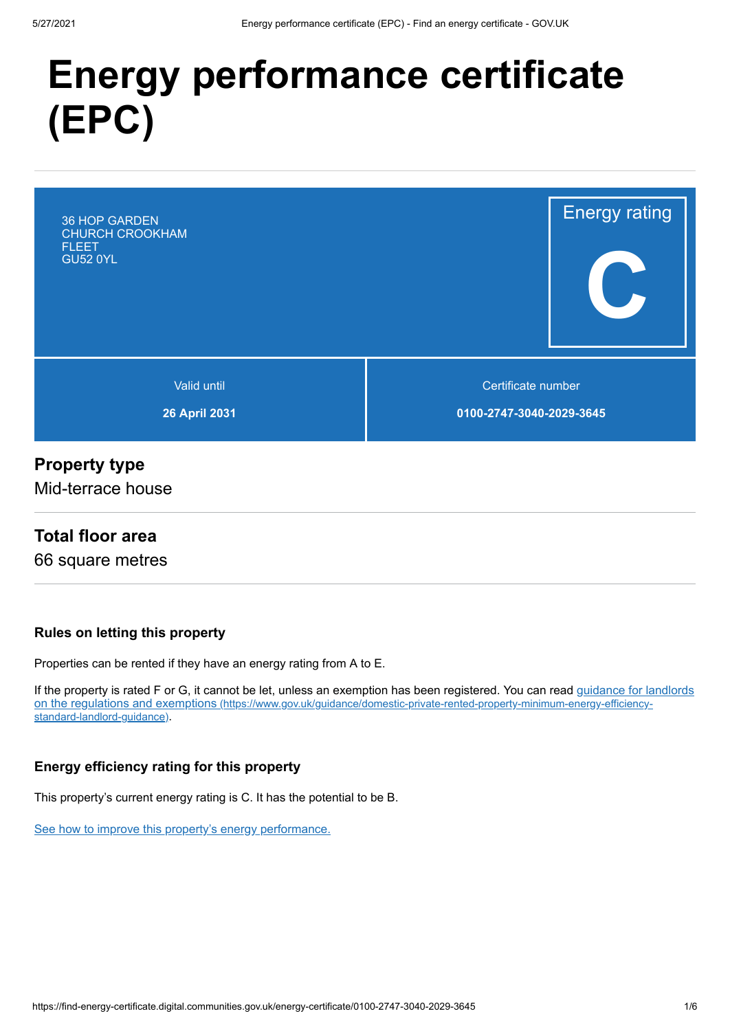# **Energy performance certificate (EPC)**



## **Property type**

Mid-terrace house

## **Total floor area**

66 square metres

#### **Rules on letting this property**

Properties can be rented if they have an energy rating from A to E.

[If the property is rated F or G, it cannot be let, unless an exemption has been registered. You can read guidance for landlords](https://www.gov.uk/guidance/domestic-private-rented-property-minimum-energy-efficiency-standard-landlord-guidance) on the regulations and exemptions (https://www.gov.uk/guidance/domestic-private-rented-property-minimum-energy-efficiencystandard-landlord-guidance).

#### **Energy efficiency rating for this property**

This property's current energy rating is C. It has the potential to be B.

[See how to improve this property's energy performance.](#page-3-0)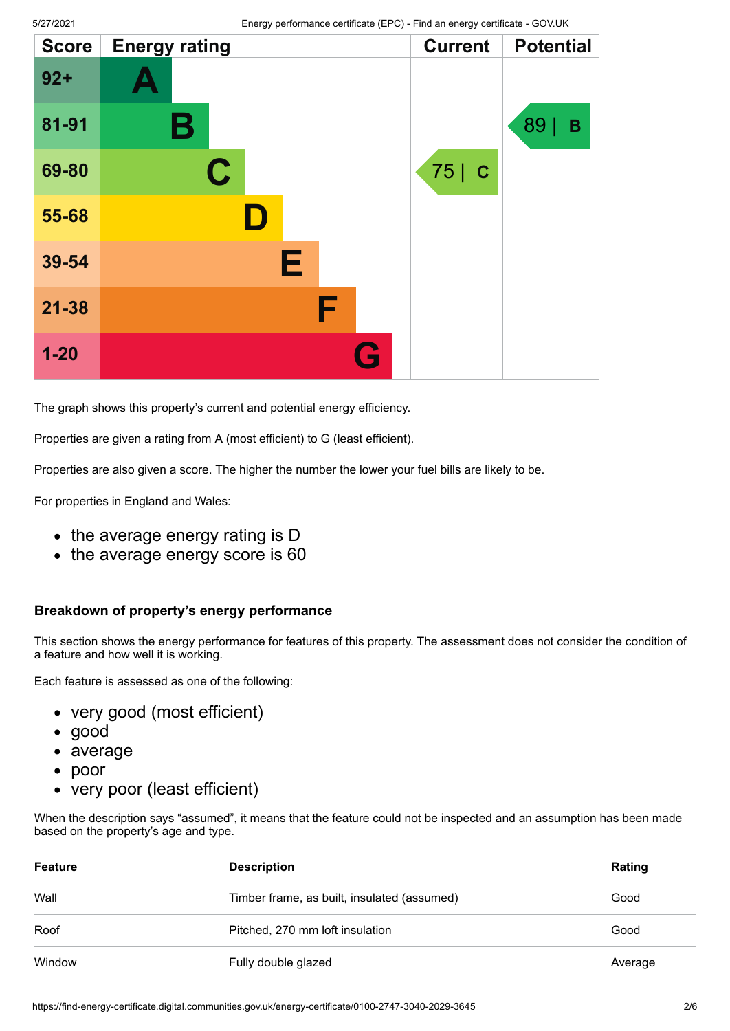| <b>Score</b> | <b>Energy rating</b> |   | <b>Current</b> | <b>Potential</b> |
|--------------|----------------------|---|----------------|------------------|
| $92 +$       |                      |   |                |                  |
| 81-91        | Β                    |   |                | 89<br>B          |
| 69-80        | $\mathbf C$          |   | 75 C           |                  |
| 55-68        | D                    |   |                |                  |
| 39-54        | Е                    |   |                |                  |
| $21 - 38$    |                      | F |                |                  |
| $1 - 20$     |                      | G |                |                  |

The graph shows this property's current and potential energy efficiency.

Properties are given a rating from A (most efficient) to G (least efficient).

Properties are also given a score. The higher the number the lower your fuel bills are likely to be.

For properties in England and Wales:

- the average energy rating is D
- the average energy score is 60

#### **Breakdown of property's energy performance**

This section shows the energy performance for features of this property. The assessment does not consider the condition of a feature and how well it is working.

Each feature is assessed as one of the following:

- very good (most efficient)
- good
- average
- poor  $\bullet$
- very poor (least efficient)

When the description says "assumed", it means that the feature could not be inspected and an assumption has been made based on the property's age and type.

| Feature | <b>Description</b>                          | Rating  |
|---------|---------------------------------------------|---------|
| Wall    | Timber frame, as built, insulated (assumed) | Good    |
| Roof    | Pitched, 270 mm loft insulation             | Good    |
| Window  | Fully double glazed                         | Average |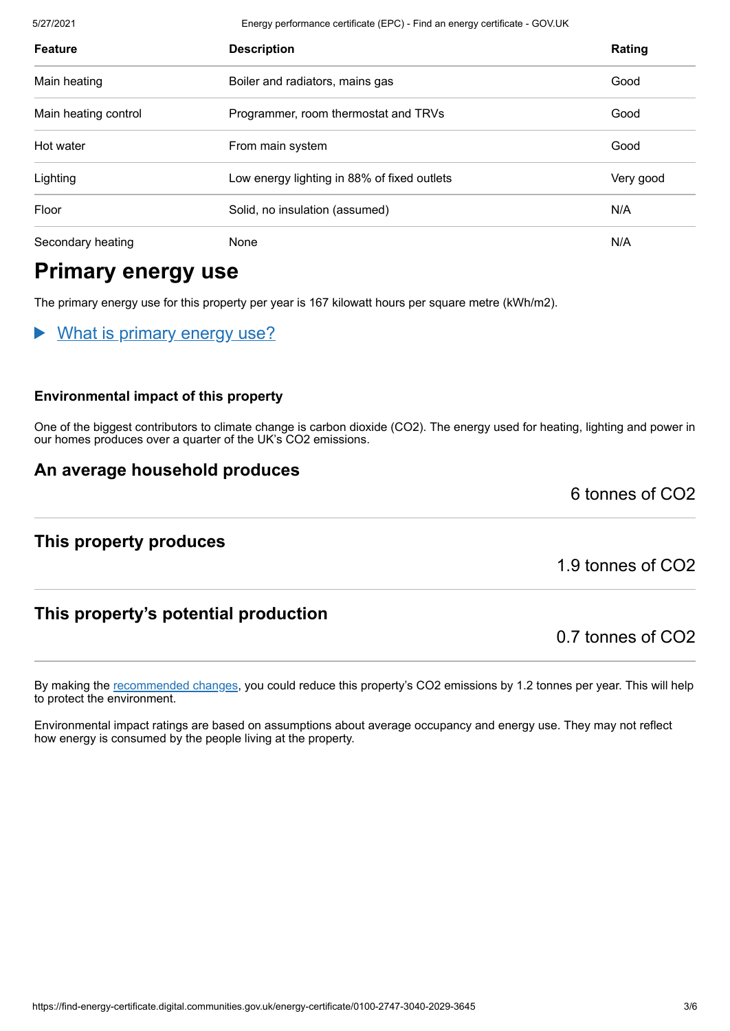5/27/2021 Energy performance certificate (EPC) - Find an energy certificate - GOV.UK

| <b>Feature</b>       | <b>Description</b>                          | Rating    |
|----------------------|---------------------------------------------|-----------|
| Main heating         | Boiler and radiators, mains gas             | Good      |
| Main heating control | Programmer, room thermostat and TRVs        | Good      |
| Hot water            | From main system                            | Good      |
| Lighting             | Low energy lighting in 88% of fixed outlets | Very good |
| Floor                | Solid, no insulation (assumed)              | N/A       |
| Secondary heating    | None                                        | N/A       |

# **Primary energy use**

The primary energy use for this property per year is 167 kilowatt hours per square metre (kWh/m2).

What is primary energy use?

#### **Environmental impact of this property**

One of the biggest contributors to climate change is carbon dioxide (CO2). The energy used for heating, lighting and power in our homes produces over a quarter of the UK's CO2 emissions.

## **An average household produces**

## **This property produces**

1.9 tonnes of CO2

6 tonnes of CO2

## **This property's potential production**

0.7 tonnes of CO2

By making the [recommended changes](#page-3-0), you could reduce this property's CO2 emissions by 1.2 tonnes per year. This will help to protect the environment.

Environmental impact ratings are based on assumptions about average occupancy and energy use. They may not reflect how energy is consumed by the people living at the property.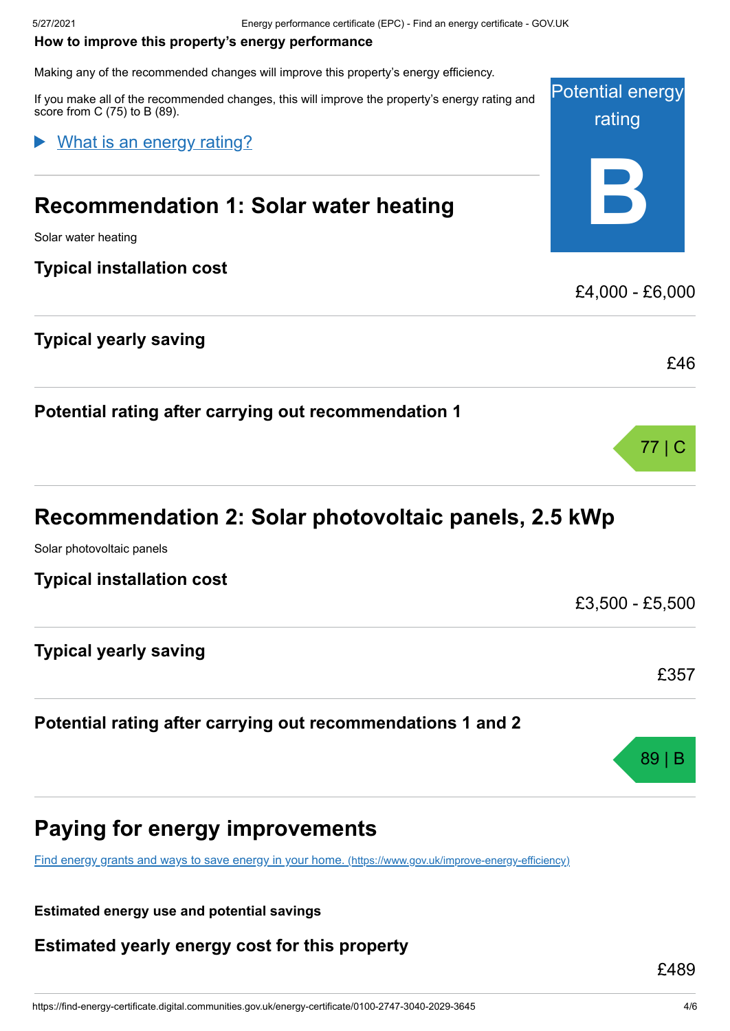#### <span id="page-3-0"></span>**How to improve this property's energy performance**

Making any of the recommended changes will improve this property's energy efficiency.

If you make all of the recommended changes, this will improve the property's energy rating and score from C (75) to B (89).

#### What is an energy rating?

# **Recommendation 1: Solar water heating**

Solar water heating

#### **Typical installation cost**

## **Typical yearly saving**

**Potential rating after carrying out recommendation 1**

# **Recommendation 2: Solar photovoltaic panels, 2.5 kWp**

Solar photovoltaic panels

**Typical installation cost**

**Typical yearly saving**

### **Potential rating after carrying out recommendations 1 and 2**

# **Paying for energy improvements**

[Find energy grants and ways to save energy in your home.](https://www.gov.uk/improve-energy-efficiency) (https://www.gov.uk/improve-energy-efficiency)

**Estimated energy use and potential savings**

**Estimated yearly energy cost for this property**

£489



£46

77 | C

£3,500 - £5,500

£357

89 | B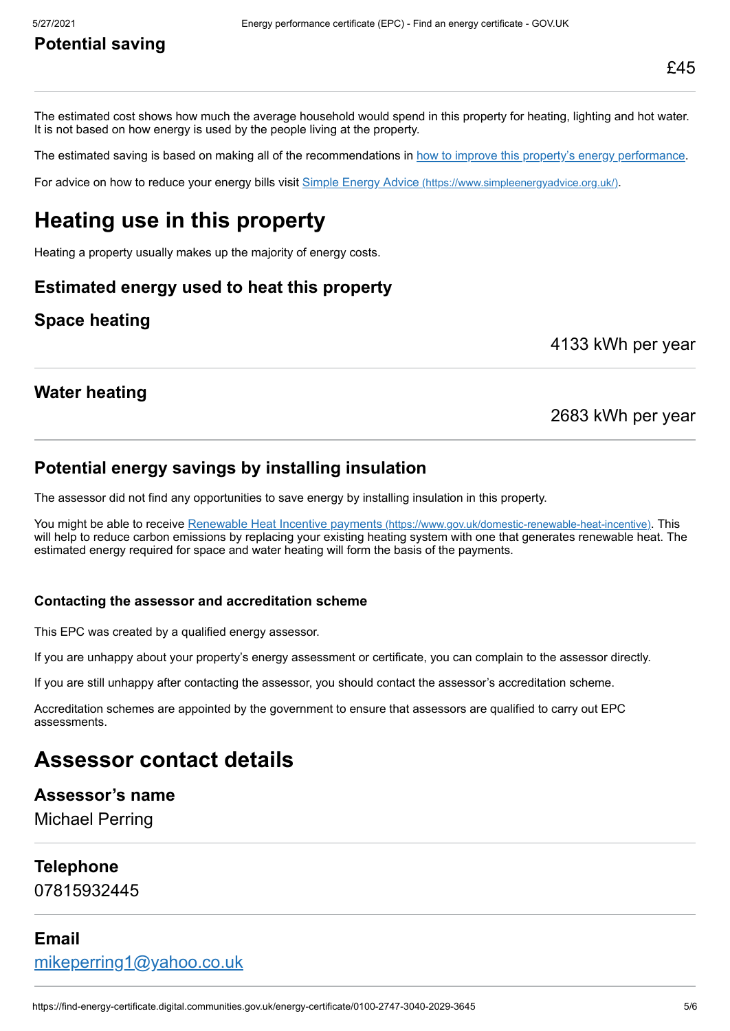# **Potential saving**

The estimated cost shows how much the average household would spend in this property for heating, lighting and hot water. It is not based on how energy is used by the people living at the property.

The estimated saving is based on making all of the recommendations in [how to improve this property's energy performance.](#page-3-0)

For advice on how to reduce your energy bills visit Simple Energy Advice [\(https://www.simpleenergyadvice.org.uk/\)](https://www.simpleenergyadvice.org.uk/).

# **Heating use in this property**

Heating a property usually makes up the majority of energy costs.

### **Estimated energy used to heat this property**

## **Space heating**

4133 kWh per year

### **Water heating**

#### 2683 kWh per year

#### **Potential energy savings by installing insulation**

The assessor did not find any opportunities to save energy by installing insulation in this property.

You might be able to receive Renewable Heat Incentive payments [\(https://www.gov.uk/domestic-renewable-heat-incentive\)](https://www.gov.uk/domestic-renewable-heat-incentive). This will help to reduce carbon emissions by replacing your existing heating system with one that generates renewable heat. The estimated energy required for space and water heating will form the basis of the payments.

#### **Contacting the assessor and accreditation scheme**

This EPC was created by a qualified energy assessor.

If you are unhappy about your property's energy assessment or certificate, you can complain to the assessor directly.

If you are still unhappy after contacting the assessor, you should contact the assessor's accreditation scheme.

Accreditation schemes are appointed by the government to ensure that assessors are qualified to carry out EPC assessments.

# **Assessor contact details**

#### **Assessor's name**

Michael Perring

#### **Telephone**

07815932445

#### **Email**

[mikeperring1@yahoo.co.uk](mailto:mikeperring1@yahoo.co.uk)